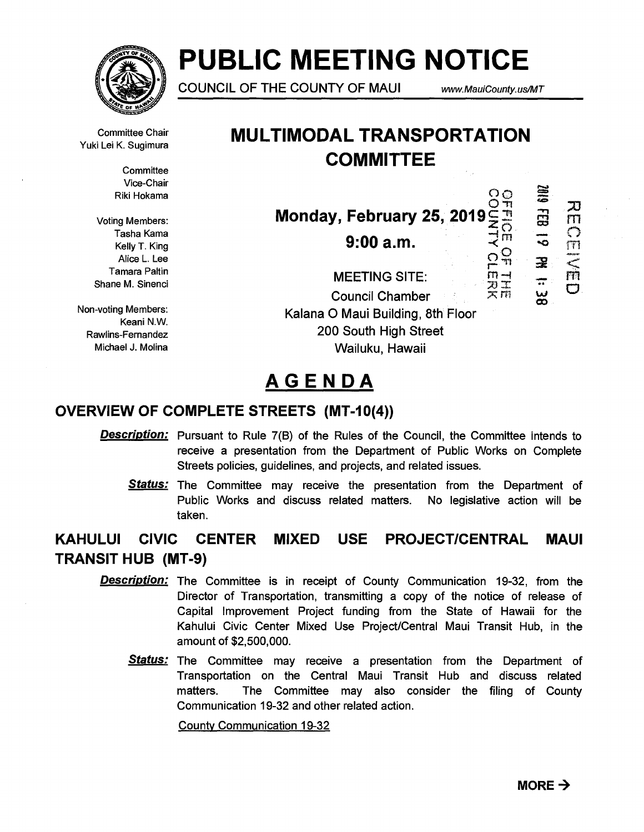

# **PUBLIC MEETING NOTICE**

**COUNCIL OF THE COUNTY OF MAUI** www.MauiCounty.us/MT

Committee Chair

**Committee** Vice-Chair Riki Hokama

Voting Members: Tasha Kama Kelly T. King Alice L. Lee Tamara Paltin Shane M. Sinenci

Non-voting Members: Keani N.W. Rawlins-Fernandez Michael J. Molina

## Committee Chair **MULTIMODAL TRANSPORTATION**<br>Yuki Lei K. Sugimura **COMMITTEE**

 $\overline{Q}$ <u>၁၁</u>  $\frac{1}{11}$ 刀 **Monday, February 25, 2019** <u>፭</u> 25  $TT$  $\bigcap$ **9:00 a.m.**  $\frac{2^m}{9^m}$ -0  $\frac{m}{m}$ ⊋ ក្រ **MEETING SITE:**   $\frac{1}{\overline{n}}$ سا<br>တ **Council Chamber Kalana 0 Maui Building, 8th Floor 200 South High Street Wailuku, Hawaii** 

# **AGENDA**

### **OVERVIEW OF COMPLETE STREETS (MT-10(4))**

- **Description:** Pursuant to Rule 7(B) of the Rules of the Council, the Committee intends to receive a presentation from the Department of Public Works on Complete Streets policies, guidelines, and projects, and related issues.
	- **Status:** The Committee may receive the presentation from the Department of Public Works and discuss related matters. No legislative action will be taken.

### **KAHULUI CIVIC CENTER MIXED USE PROJECT/CENTRAL MAUI TRANSIT HUB (MT-9)**

- **Description:**  The Committee is in receipt of County Communication 19-32, from the Director of Transportation, transmitting a copy of the notice of release of Capital Improvement Project funding from the State of Hawaii for the Kahului Civic Center Mixed Use Project/Central Maui Transit Hub, in the amount of \$2,500,000.
	- Status: The Committee may receive a presentation from the Department of Transportation on the Central Maui Transit Hub and discuss related matters. The Committee may also consider the filing of County Communication 19-32 and other related action.

County Communication 19-32